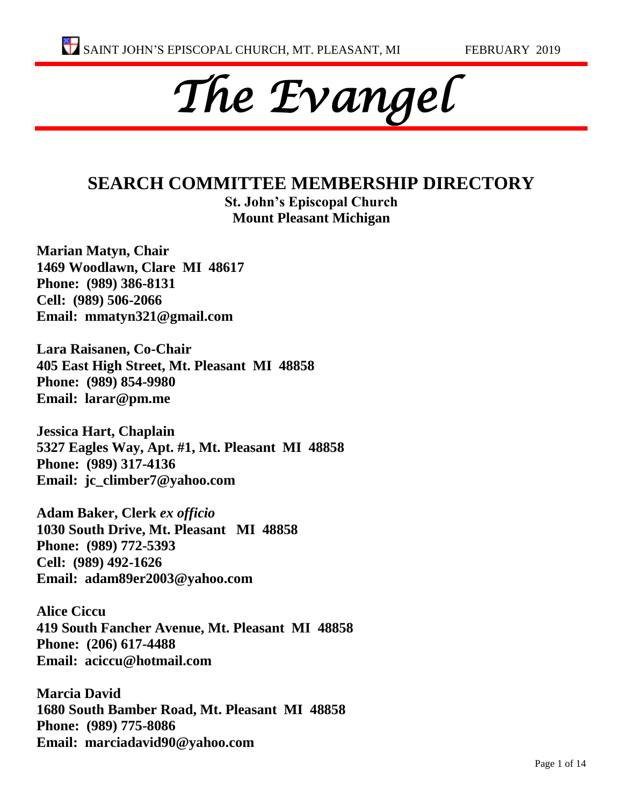

#### **SEARCH COMMITTEE MEMBERSHIP DIRECTORY St. John's Episcopal Church**

**Mount Pleasant Michigan**

**Marian Matyn, Chair 1469 Woodlawn, Clare MI 48617 Phone: (989) 386-8131 Cell: (989) 506-2066 Email: mmatyn321@gmail.com**

**Lara Raisanen, Co-Chair 405 East High Street, Mt. Pleasant MI 48858 Phone: (989) 854-9980 Email: larar@pm.me**

**Jessica Hart, Chaplain 5327 Eagles Way, Apt. #1, Mt. Pleasant MI 48858 Phone: (989) 317-4136 Email: jc\_climber7@yahoo.com**

**Adam Baker, Clerk** *ex officio* **1030 South Drive, Mt. Pleasant MI 48858 Phone: (989) 772-5393 Cell: (989) 492-1626 Email: adam89er2003@yahoo.com**

**Alice Ciccu 419 South Fancher Avenue, Mt. Pleasant MI 48858 Phone: (206) 617-4488 Email: aciccu@hotmail.com**

**Marcia David 1680 South Bamber Road, Mt. Pleasant MI 48858 Phone: (989) 775-8086 Email: marciadavid90@yahoo.com**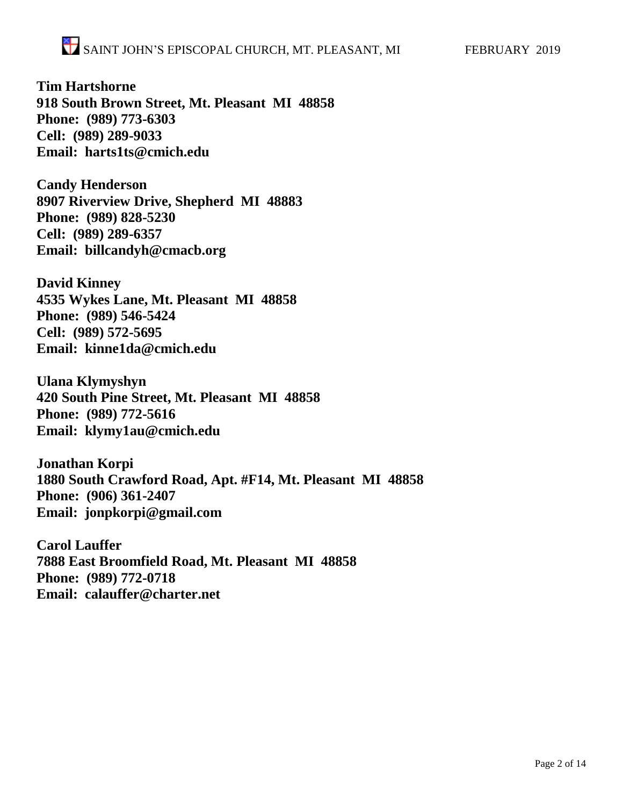**Tim Hartshorne 918 South Brown Street, Mt. Pleasant MI 48858 Phone: (989) 773-6303 Cell: (989) 289-9033 Email: harts1ts@cmich.edu**

**Candy Henderson 8907 Riverview Drive, Shepherd MI 48883 Phone: (989) 828-5230 Cell: (989) 289-6357 Email: billcandyh@cmacb.org**

**David Kinney 4535 Wykes Lane, Mt. Pleasant MI 48858 Phone: (989) 546-5424 Cell: (989) 572-5695 Email: kinne1da@cmich.edu**

**Ulana Klymyshyn 420 South Pine Street, Mt. Pleasant MI 48858 Phone: (989) 772-5616 Email: klymy1au@cmich.edu**

**Jonathan Korpi 1880 South Crawford Road, Apt. #F14, Mt. Pleasant MI 48858 Phone: (906) 361-2407 Email: jonpkorpi@gmail.com**

**Carol Lauffer 7888 East Broomfield Road, Mt. Pleasant MI 48858 Phone: (989) 772-0718 Email: calauffer@charter.net**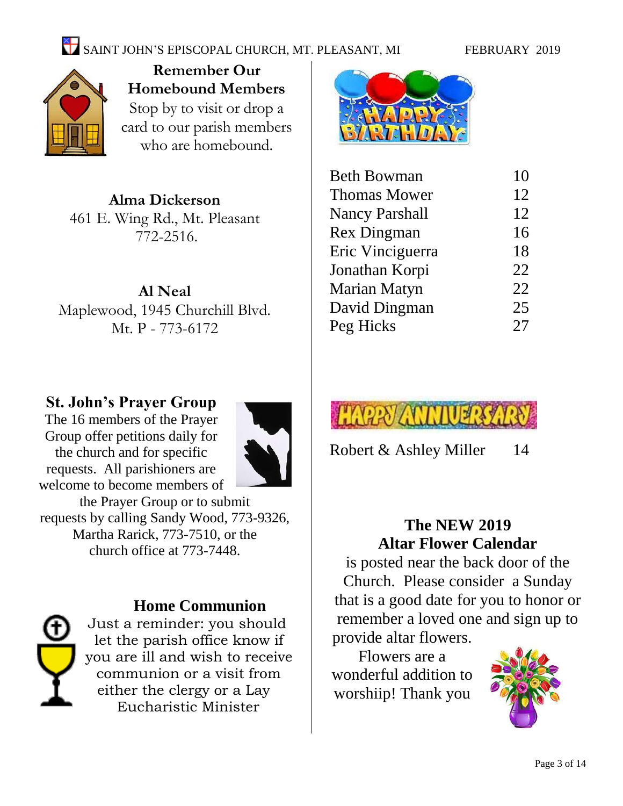# SAINT JOHN'S EPISCOPAL CHURCH, MT. PLEASANT, MI FEBRUARY 2019



**Remember Our Homebound Members** Stop by to visit or drop a card to our parish members who are homebound.

**Alma Dickerson** 461 E. Wing Rd., Mt. Pleasant 772-2516.

**Al Neal** Maplewood, 1945 Churchill Blvd. Mt. P - 773-6172

### **St. John's Prayer Group**

The 16 members of the Prayer Group offer petitions daily for the church and for specific requests. All parishioners are welcome to become members of



the Prayer Group or to submit requests by calling Sandy Wood, 773-9326, Martha Rarick, 773-7510, or the church office at 773-7448.



#### **Home Communion**

Just a reminder: you should let the parish office know if you are ill and wish to receive communion or a visit from either the clergy or a Lay Eucharistic Minister



| <b>Beth Bowman</b>    | 10 |
|-----------------------|----|
| <b>Thomas Mower</b>   | 12 |
| <b>Nancy Parshall</b> | 12 |
| <b>Rex Dingman</b>    | 16 |
| Eric Vinciguerra      | 18 |
| Jonathan Korpi        | 22 |
| Marian Matyn          | 22 |
| David Dingman         | 25 |
| Peg Hicks             | 27 |
|                       |    |



Robert & Ashley Miller 14

# **The NEW 2019 Altar Flower Calendar**

is posted near the back door of the Church. Please consider a Sunday that is a good date for you to honor or remember a loved one and sign up to provide altar flowers.

Flowers are a wonderful addition to worshiip! Thank you

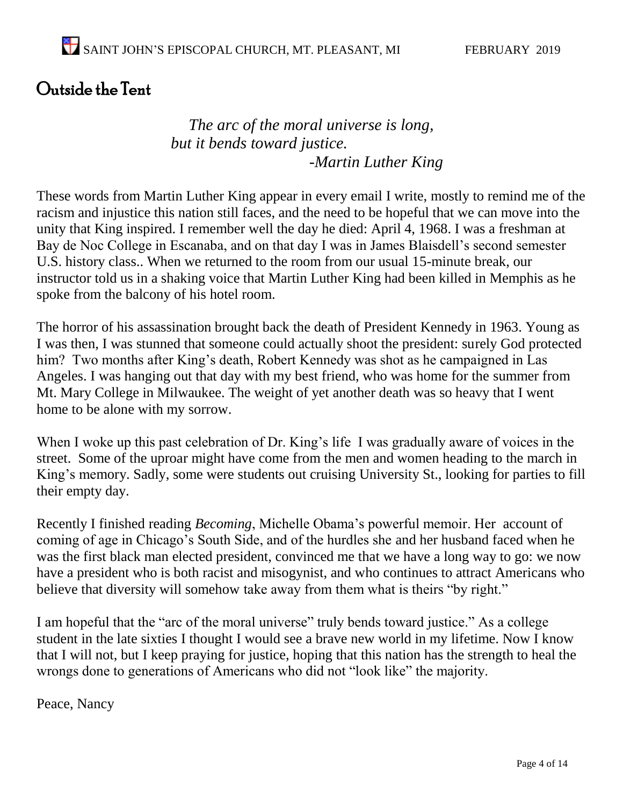# Outside the Tent

### *The arc of the moral universe is long, but it bends toward justice. -Martin Luther King*

These words from Martin Luther King appear in every email I write, mostly to remind me of the racism and injustice this nation still faces, and the need to be hopeful that we can move into the unity that King inspired. I remember well the day he died: April 4, 1968. I was a freshman at Bay de Noc College in Escanaba, and on that day I was in James Blaisdell's second semester U.S. history class.. When we returned to the room from our usual 15-minute break, our instructor told us in a shaking voice that Martin Luther King had been killed in Memphis as he spoke from the balcony of his hotel room.

The horror of his assassination brought back the death of President Kennedy in 1963. Young as I was then, I was stunned that someone could actually shoot the president: surely God protected him? Two months after King's death, Robert Kennedy was shot as he campaigned in Las Angeles. I was hanging out that day with my best friend, who was home for the summer from Mt. Mary College in Milwaukee. The weight of yet another death was so heavy that I went home to be alone with my sorrow.

When I woke up this past celebration of Dr. King's life I was gradually aware of voices in the street. Some of the uproar might have come from the men and women heading to the march in King's memory. Sadly, some were students out cruising University St., looking for parties to fill their empty day.

Recently I finished reading *Becoming*, Michelle Obama's powerful memoir. Her account of coming of age in Chicago's South Side, and of the hurdles she and her husband faced when he was the first black man elected president, convinced me that we have a long way to go: we now have a president who is both racist and misogynist, and who continues to attract Americans who believe that diversity will somehow take away from them what is theirs "by right."

I am hopeful that the "arc of the moral universe" truly bends toward justice." As a college student in the late sixties I thought I would see a brave new world in my lifetime. Now I know that I will not, but I keep praying for justice, hoping that this nation has the strength to heal the wrongs done to generations of Americans who did not "look like" the majority.

Peace, Nancy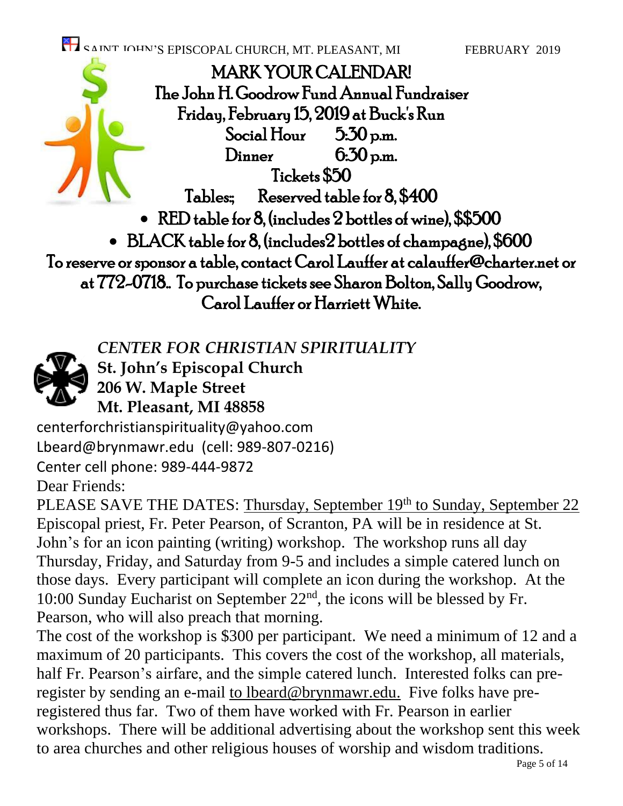SAINT IOHN'S EPISCOPAL CHURCH, MT. PLEASANT, MI FEBRUARY 2019 MARK YOUR CALENDAR! The John H. Goodrow Fund Annual Fundraiser Friday, February 15, 2019 at Buck's Run Social Hour  $5.50$  p.m. Dinner 6:30 p.m. Tickets \$50 Tables: Reserved table for 8, \$400 • RED table for 8, (includes 2 bottles of wine), \$\$500 • BLACK table for 8, (includes2 bottles of champagne), \$600 To reserve or sponsor a table, contact Carol Lauffer at calauffer@charter.net or at 772-0718.. To purchase tickets see Sharon Bolton, Sally Goodrow, Carol Lauffer or Harriett White.

*CENTER FOR CHRISTIAN SPIRITUALITY*

**St. John's Episcopal Church**

**206 W. Maple Street**

**Mt. Pleasant, MI 48858**

[centerforchristianspirituality@yahoo.com](mailto:centerforchristianspirituality@yahoo.com) [Lbeard@brynmawr.edu](mailto:beard@brynmawr.edu) (cell: 989-807-0216)

Center cell phone: 989-444-9872

Dear Friends:

PLEASE SAVE THE DATES: Thursday, September 19th to Sunday, September 22 Episcopal priest, Fr. Peter Pearson, of Scranton, PA will be in residence at St. John's for an icon painting (writing) workshop. The workshop runs all day Thursday, Friday, and Saturday from 9-5 and includes a simple catered lunch on those days. Every participant will complete an icon during the workshop. At the 10:00 Sunday Eucharist on September 22nd, the icons will be blessed by Fr. Pearson, who will also preach that morning.

The cost of the workshop is \$300 per participant. We need a minimum of 12 and a maximum of 20 participants. This covers the cost of the workshop, all materials, half Fr. Pearson's airfare, and the simple catered lunch. Interested folks can preregister by sending an e-mail to [lbeard@brynmawr.edu.](mailto:lbeard@brynmawr.edu) Five folks have preregistered thus far. Two of them have worked with Fr. Pearson in earlier workshops. There will be additional advertising about the workshop sent this week to area churches and other religious houses of worship and wisdom traditions.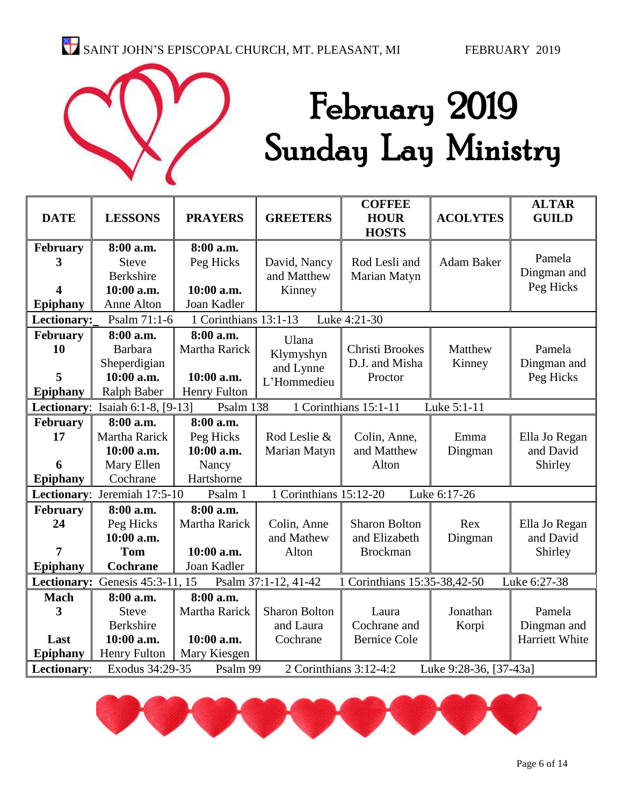

# February 2019 Sunday Lay Ministry

|                 |                                                                                       |                     |                        | <b>COFFEE</b>                |                        | <b>ALTAR</b>          |  |  |  |
|-----------------|---------------------------------------------------------------------------------------|---------------------|------------------------|------------------------------|------------------------|-----------------------|--|--|--|
| <b>DATE</b>     | <b>LESSONS</b>                                                                        | <b>PRAYERS</b>      | <b>GREETERS</b>        | <b>HOUR</b>                  | <b>ACOLYTES</b>        | <b>GUILD</b>          |  |  |  |
|                 |                                                                                       |                     |                        | <b>HOSTS</b>                 |                        |                       |  |  |  |
| February        | 8:00 a.m.                                                                             | 8:00 a.m.           |                        |                              |                        |                       |  |  |  |
| 3               | <b>Steve</b>                                                                          | Peg Hicks           | David, Nancy           | Rod Lesli and                | <b>Adam Baker</b>      | Pamela                |  |  |  |
|                 | Berkshire                                                                             |                     | and Matthew            | Marian Matyn                 |                        | Dingman and           |  |  |  |
| 4               | 10:00 a.m.                                                                            | 10:00 a.m.          | Kinney                 |                              |                        | Peg Hicks             |  |  |  |
| Epiphany        | Anne Alton                                                                            | Joan Kadler         |                        |                              |                        |                       |  |  |  |
| Lectionary:     | 1 Corinthians 13:1-13<br>Psalm 71:1-6<br>Luke 4:21-30                                 |                     |                        |                              |                        |                       |  |  |  |
| February        | 8:00 a.m.                                                                             | 8:00 a.m.           | Ulana                  |                              |                        |                       |  |  |  |
| 10              | <b>Barbara</b>                                                                        | Martha Rarick       | Klymyshyn              | <b>Christi Brookes</b>       | Matthew                | Pamela                |  |  |  |
|                 | Sheperdigian                                                                          |                     | and Lynne              | D.J. and Misha               | Kinney                 | Dingman and           |  |  |  |
| 5               | 10:00 a.m.                                                                            | 10:00 a.m.          | L'Hommedieu            | Proctor                      |                        | Peg Hicks             |  |  |  |
| <b>Epiphany</b> | <b>Ralph Baber</b>                                                                    | <b>Henry Fulton</b> |                        |                              |                        |                       |  |  |  |
|                 | Lectionary: Isaiah 6:1-8, [9-13]<br>1 Corinthians 15:1-11<br>Psalm 138<br>Luke 5:1-11 |                     |                        |                              |                        |                       |  |  |  |
| February        | 8:00 a.m.                                                                             | 8:00 a.m.           |                        |                              |                        |                       |  |  |  |
| 17              | Martha Rarick                                                                         | Peg Hicks           | Rod Leslie &           | Colin, Anne,                 | Emma                   | Ella Jo Regan         |  |  |  |
|                 | 10:00 a.m.                                                                            | 10:00 a.m.          | Marian Matyn           | and Matthew                  | Dingman                | and David             |  |  |  |
| 6               | Mary Ellen                                                                            | Nancy               |                        | Alton                        |                        | Shirley               |  |  |  |
| <b>Epiphany</b> | Cochrane                                                                              | Hartshorne          |                        |                              |                        |                       |  |  |  |
|                 | Lectionary: Jeremiah 17:5-10                                                          | Psalm 1             | 1 Corinthians 15:12-20 |                              | Luke 6:17-26           |                       |  |  |  |
| February        | 8:00 a.m.                                                                             | 8:00 a.m.           |                        |                              |                        |                       |  |  |  |
| 24              | Peg Hicks                                                                             | Martha Rarick       | Colin, Anne            | <b>Sharon Bolton</b>         | Rex                    | Ella Jo Regan         |  |  |  |
|                 | 10:00 a.m.                                                                            |                     | and Mathew             | and Elizabeth                | Dingman                | and David             |  |  |  |
| 7               | <b>Tom</b>                                                                            | 10:00 a.m.          | Alton                  | <b>Brockman</b>              |                        | Shirley               |  |  |  |
| Epiphany        | <b>Cochrane</b>                                                                       | Joan Kadler         |                        |                              |                        |                       |  |  |  |
|                 | Lectionary: Genesis 45:3-11, 15                                                       |                     | Psalm 37:1-12, 41-42   | 1 Corinthians 15:35-38,42-50 |                        | Luke 6:27-38          |  |  |  |
| <b>Mach</b>     | 8:00 a.m.                                                                             | 8:00 a.m.           |                        |                              |                        |                       |  |  |  |
| 3               | <b>Steve</b>                                                                          | Martha Rarick       | <b>Sharon Bolton</b>   | Laura                        | Jonathan               | Pamela                |  |  |  |
|                 | <b>Berkshire</b>                                                                      |                     | and Laura              | Cochrane and                 | Korpi                  | Dingman and           |  |  |  |
| Last            | 10:00 a.m.                                                                            | 10:00 a.m.          | Cochrane               | <b>Bernice Cole</b>          |                        | <b>Harriett White</b> |  |  |  |
| Epiphany        | <b>Henry Fulton</b>                                                                   | Mary Kiesgen        |                        |                              |                        |                       |  |  |  |
| Lectionary:     | Exodus 34:29-35                                                                       | Psalm 99            | 2 Corinthians 3:12-4:2 |                              | Luke 9:28-36, [37-43a] |                       |  |  |  |

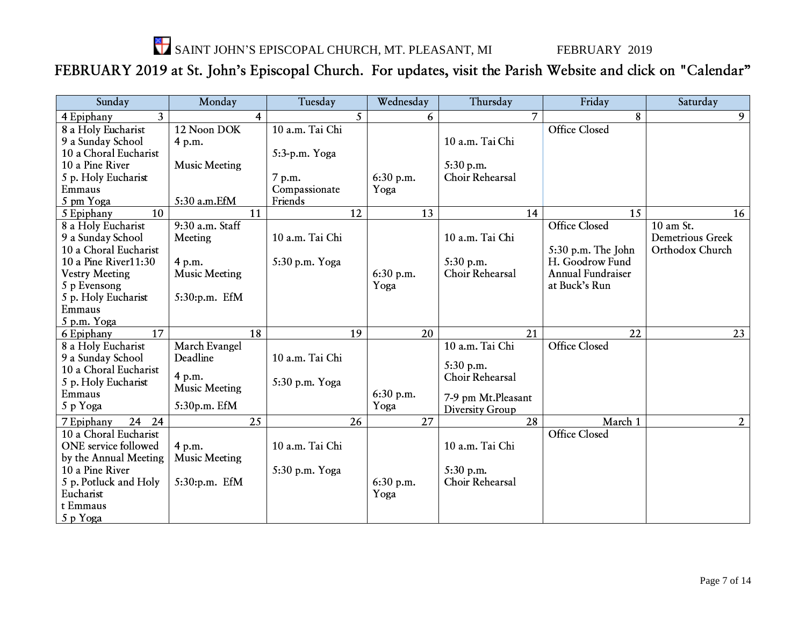SAINT JOHN'S EPISCOPAL CHURCH, MT. PLEASANT, MI FEBRUARY 2019

# FEBRUARY 2019 at St. John's Episcopal Church. For updates, visit the Parish Website and click on "Calendar"

| Sunday                       | Monday               | Tuesday         | Wednesday | Thursday           | Friday               | Saturday                 |
|------------------------------|----------------------|-----------------|-----------|--------------------|----------------------|--------------------------|
| $\overline{3}$<br>4 Epiphany | 4                    | 5               | 6         | 7                  | 8                    | 9                        |
| 8 a Holy Eucharist           | 12 Noon DOK          | 10 a.m. Tai Chi |           |                    | <b>Office Closed</b> |                          |
| 9 a Sunday School            | 4 p.m.               |                 |           | 10 a.m. Tai Chi    |                      |                          |
| 10 a Choral Eucharist        |                      | 5:3-p.m. Yoga   |           |                    |                      |                          |
| 10 a Pine River              | <b>Music Meeting</b> |                 |           | 5:30 p.m.          |                      |                          |
| 5 p. Holy Eucharist          |                      | 7 p.m.          | 6:30 p.m. | Choir Rehearsal    |                      |                          |
| Emmaus                       |                      | Compassionate   | Yoga      |                    |                      |                          |
| 5 pm Yoga                    | 5:30 a.m.EfM         | Friends         |           |                    |                      |                          |
| 10<br>5 Epiphany             | 11                   | 12              | 13        | 14                 | 15                   | 16                       |
| 8 a Holy Eucharist           | 9:30 a.m. Staff      |                 |           |                    | <b>Office Closed</b> | $10$ am $\overline{St.}$ |
| 9 a Sunday School            | Meeting              | 10 a.m. Tai Chi |           | 10 a.m. Tai Chi    |                      | <b>Demetrious Greek</b>  |
| 10 a Choral Eucharist        |                      |                 |           |                    | 5:30 p.m. The John   | Orthodox Church          |
| 10 a Pine River11:30         | 4 p.m.               | 5:30 p.m. Yoga  |           | 5:30 p.m.          | H. Goodrow Fund      |                          |
| <b>Vestry Meeting</b>        | <b>Music Meeting</b> |                 | 6:30 p.m. | Choir Rehearsal    | Annual Fundraiser    |                          |
| 5 p Evensong                 |                      |                 | Yoga      |                    | at Buck's Run        |                          |
| 5 p. Holy Eucharist          | 5:30:p.m. EfM        |                 |           |                    |                      |                          |
| Emmaus                       |                      |                 |           |                    |                      |                          |
| 5 p.m. Yoga                  |                      |                 |           |                    |                      |                          |
| 17<br>6 Epiphany             | 18                   | 19              | 20        | 21                 | 22                   | 23                       |
| 8 a Holy Eucharist           | March Evangel        |                 |           | 10 a.m. Tai Chi    | <b>Office Closed</b> |                          |
| 9 a Sunday School            | Deadline             | 10 a.m. Tai Chi |           | 5:30 p.m.          |                      |                          |
| 10 a Choral Eucharist        | 4 p.m.               |                 |           | Choir Rehearsal    |                      |                          |
| 5 p. Holy Eucharist          | <b>Music Meeting</b> | 5:30 p.m. Yoga  |           |                    |                      |                          |
| Emmaus                       |                      |                 | 6:30 p.m. | 7-9 pm Mt.Pleasant |                      |                          |
| 5 p Yoga                     | 5:30p.m. EfM         |                 | Yoga      | Diversity Group    |                      |                          |
| 24<br>24<br>7 Epiphany       | 25                   | 26              | 27        | $\overline{28}$    | March 1              | $\overline{2}$           |
| 10 a Choral Eucharist        |                      |                 |           |                    | <b>Office Closed</b> |                          |
| ONE service followed         | 4 p.m.               | 10 a.m. Tai Chi |           | 10 a.m. Tai Chi    |                      |                          |
| by the Annual Meeting        | <b>Music Meeting</b> |                 |           |                    |                      |                          |
| 10 a Pine River              |                      | 5:30 p.m. Yoga  |           | 5:30 p.m.          |                      |                          |
| 5 p. Potluck and Holy        | 5:30:p.m. EfM        |                 | 6:30 p.m. | Choir Rehearsal    |                      |                          |
| Eucharist                    |                      |                 | Yoga      |                    |                      |                          |
| t Emmaus                     |                      |                 |           |                    |                      |                          |
| 5 p Yoga                     |                      |                 |           |                    |                      |                          |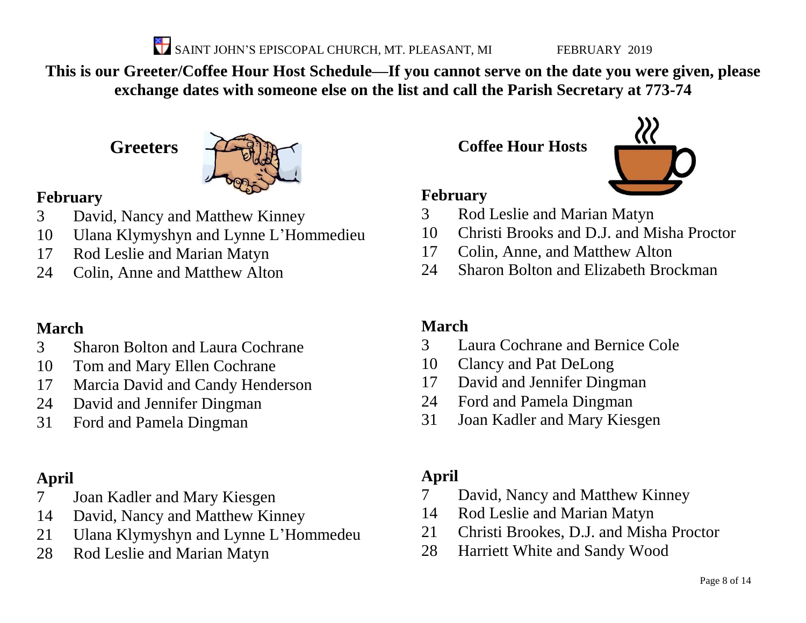SAINT JOHN'S EPISCOPAL CHURCH, MT. PLEASANT, MI FEBRUARY 2019

**This is our Greeter/Coffee Hour Host Schedule—If you cannot serve on the date you were given, please exchange dates with someone else on the list and call the Parish Secretary at 773-74**

**Greeters**



# **February**

- David, Nancy and Matthew Kinney
- Ulana Klymyshyn and Lynne L'Hommedieu
- Rod Leslie and Marian Matyn
- Colin, Anne and Matthew Alton

# **March**

- Sharon Bolton and Laura Cochrane
- Tom and Mary Ellen Cochrane
- Marcia David and Candy Henderson
- David and Jennifer Dingman
- Ford and Pamela Dingman

# **April**

- Joan Kadler and Mary Kiesgen
- David, Nancy and Matthew Kinney
- Ulana Klymyshyn and Lynne L'Hommedeu
- Rod Leslie and Marian Matyn

**Coffee Hour Hosts**



### **February**

- Rod Leslie and Marian Matyn
- Christi Brooks and D.J. and Misha Proctor
- Colin, Anne, and Matthew Alton
- Sharon Bolton and Elizabeth Brockman

# **March**

- Laura Cochrane and Bernice Cole
- Clancy and Pat DeLong
- David and Jennifer Dingman
- Ford and Pamela Dingman
- Joan Kadler and Mary Kiesgen

# **April**

- David, Nancy and Matthew Kinney
- Rod Leslie and Marian Matyn
- Christi Brookes, D.J. and Misha Proctor
- Harriett White and Sandy Wood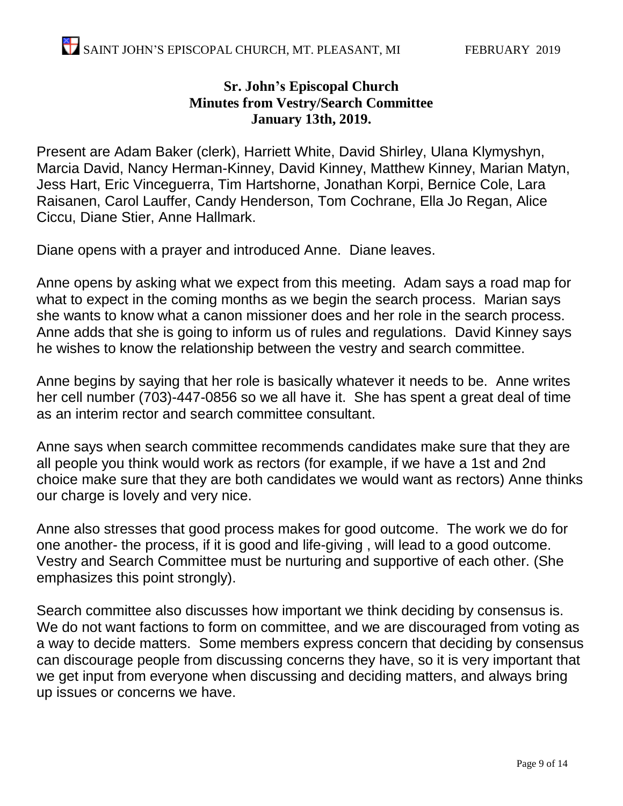#### **Sr. John's Episcopal Church Minutes from Vestry/Search Committee January 13th, 2019.**

Present are Adam Baker (clerk), Harriett White, David Shirley, Ulana Klymyshyn, Marcia David, Nancy Herman-Kinney, David Kinney, Matthew Kinney, Marian Matyn, Jess Hart, Eric Vinceguerra, Tim Hartshorne, Jonathan Korpi, Bernice Cole, Lara Raisanen, Carol Lauffer, Candy Henderson, Tom Cochrane, Ella Jo Regan, Alice Ciccu, Diane Stier, Anne Hallmark.

Diane opens with a prayer and introduced Anne. Diane leaves.

Anne opens by asking what we expect from this meeting. Adam says a road map for what to expect in the coming months as we begin the search process. Marian says she wants to know what a canon missioner does and her role in the search process. Anne adds that she is going to inform us of rules and regulations. David Kinney says he wishes to know the relationship between the vestry and search committee.

Anne begins by saying that her role is basically whatever it needs to be. Anne writes her cell number (703)-447-0856 so we all have it. She has spent a great deal of time as an interim rector and search committee consultant.

Anne says when search committee recommends candidates make sure that they are all people you think would work as rectors (for example, if we have a 1st and 2nd choice make sure that they are both candidates we would want as rectors) Anne thinks our charge is lovely and very nice.

Anne also stresses that good process makes for good outcome. The work we do for one another- the process, if it is good and life-giving , will lead to a good outcome. Vestry and Search Committee must be nurturing and supportive of each other. (She emphasizes this point strongly).

Search committee also discusses how important we think deciding by consensus is. We do not want factions to form on committee, and we are discouraged from voting as a way to decide matters. Some members express concern that deciding by consensus can discourage people from discussing concerns they have, so it is very important that we get input from everyone when discussing and deciding matters, and always bring up issues or concerns we have.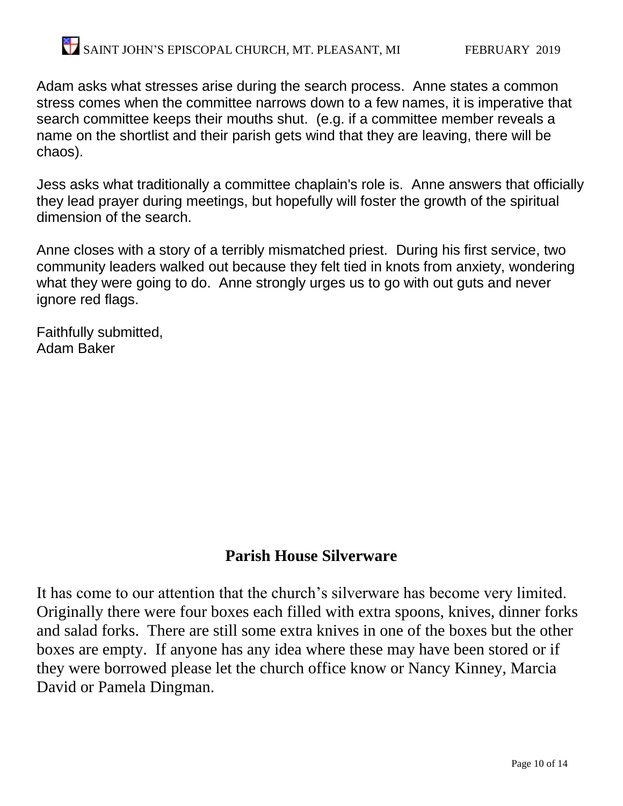Adam asks what stresses arise during the search process. Anne states a common stress comes when the committee narrows down to a few names, it is imperative that search committee keeps their mouths shut. (e.g. if a committee member reveals a name on the shortlist and their parish gets wind that they are leaving, there will be chaos).

Jess asks what traditionally a committee chaplain's role is. Anne answers that officially they lead prayer during meetings, but hopefully will foster the growth of the spiritual dimension of the search.

Anne closes with a story of a terribly mismatched priest. During his first service, two community leaders walked out because they felt tied in knots from anxiety, wondering what they were going to do. Anne strongly urges us to go with out guts and never ignore red flags.

Faithfully submitted, Adam Baker

# **Parish House Silverware**

It has come to our attention that the church's silverware has become very limited. Originally there were four boxes each filled with extra spoons, knives, dinner forks and salad forks. There are still some extra knives in one of the boxes but the other boxes are empty. If anyone has any idea where these may have been stored or if they were borrowed please let the church office know or Nancy Kinney, Marcia David or Pamela Dingman.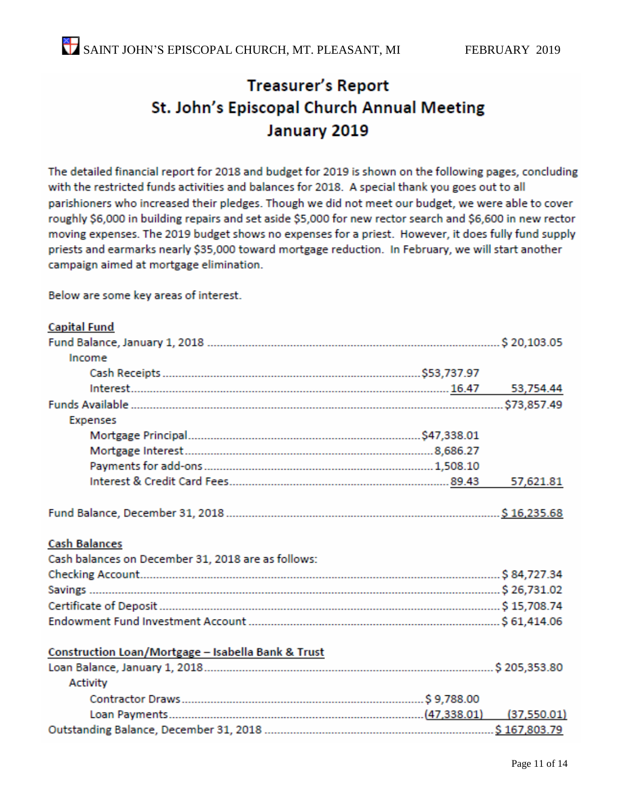# **Treasurer's Report** St. John's Episcopal Church Annual Meeting January 2019

The detailed financial report for 2018 and budget for 2019 is shown on the following pages, concluding with the restricted funds activities and balances for 2018. A special thank you goes out to all parishioners who increased their pledges. Though we did not meet our budget, we were able to cover roughly \$6,000 in building repairs and set aside \$5,000 for new rector search and \$6,600 in new rector moving expenses. The 2019 budget shows no expenses for a priest. However, it does fully fund supply priests and earmarks nearly \$35,000 toward mortgage reduction. In February, we will start another campaign aimed at mortgage elimination.

Below are some key areas of interest.

#### **Capital Fund** Income 53,754.44 **Expenses** 57,621.81 **Cash Balances** Cash balances on December 31, 2018 are as follows: Construction Loan/Mortgage - Isabella Bank & Trust **Activity**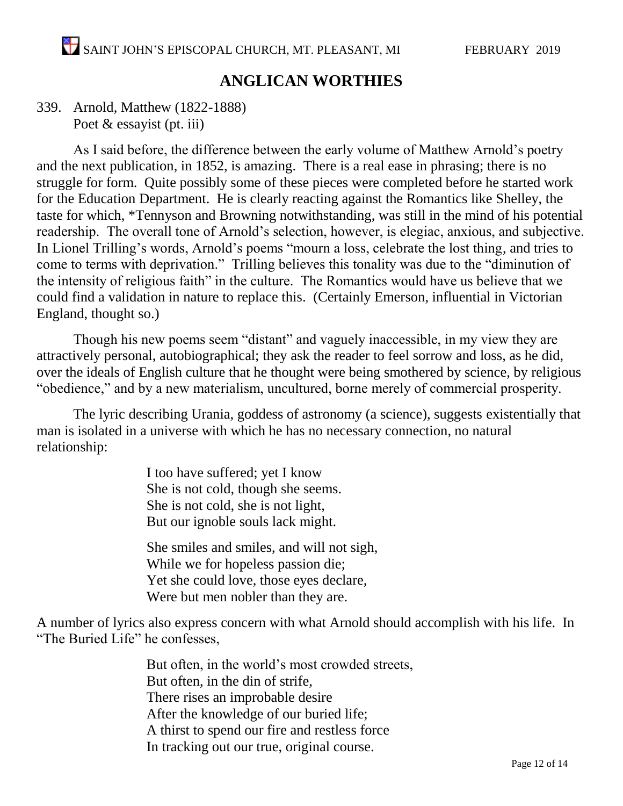### **ANGLICAN WORTHIES**

#### 339. Arnold, Matthew (1822-1888) Poet & essayist (pt. iii)

As I said before, the difference between the early volume of Matthew Arnold's poetry and the next publication, in 1852, is amazing. There is a real ease in phrasing; there is no struggle for form. Quite possibly some of these pieces were completed before he started work for the Education Department. He is clearly reacting against the Romantics like Shelley, the taste for which, \*Tennyson and Browning notwithstanding, was still in the mind of his potential readership. The overall tone of Arnold's selection, however, is elegiac, anxious, and subjective. In Lionel Trilling's words, Arnold's poems "mourn a loss, celebrate the lost thing, and tries to come to terms with deprivation." Trilling believes this tonality was due to the "diminution of the intensity of religious faith" in the culture. The Romantics would have us believe that we could find a validation in nature to replace this. (Certainly Emerson, influential in Victorian England, thought so.)

Though his new poems seem "distant" and vaguely inaccessible, in my view they are attractively personal, autobiographical; they ask the reader to feel sorrow and loss, as he did, over the ideals of English culture that he thought were being smothered by science, by religious "obedience," and by a new materialism, uncultured, borne merely of commercial prosperity.

The lyric describing Urania, goddess of astronomy (a science), suggests existentially that man is isolated in a universe with which he has no necessary connection, no natural relationship:

> I too have suffered; yet I know She is not cold, though she seems. She is not cold, she is not light, But our ignoble souls lack might.

She smiles and smiles, and will not sigh, While we for hopeless passion die; Yet she could love, those eyes declare, Were but men nobler than they are.

A number of lyrics also express concern with what Arnold should accomplish with his life. In "The Buried Life" he confesses,

> But often, in the world's most crowded streets, But often, in the din of strife, There rises an improbable desire After the knowledge of our buried life; A thirst to spend our fire and restless force In tracking out our true, original course.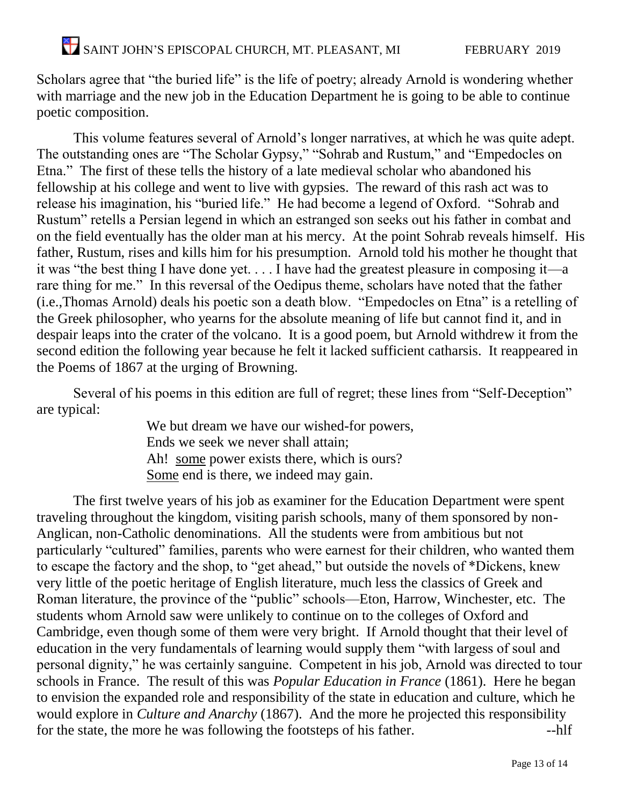Scholars agree that "the buried life" is the life of poetry; already Arnold is wondering whether with marriage and the new job in the Education Department he is going to be able to continue poetic composition.

This volume features several of Arnold's longer narratives, at which he was quite adept. The outstanding ones are "The Scholar Gypsy," "Sohrab and Rustum," and "Empedocles on Etna." The first of these tells the history of a late medieval scholar who abandoned his fellowship at his college and went to live with gypsies. The reward of this rash act was to release his imagination, his "buried life." He had become a legend of Oxford. "Sohrab and Rustum" retells a Persian legend in which an estranged son seeks out his father in combat and on the field eventually has the older man at his mercy. At the point Sohrab reveals himself. His father, Rustum, rises and kills him for his presumption. Arnold told his mother he thought that it was "the best thing I have done yet. . . . I have had the greatest pleasure in composing it—a rare thing for me." In this reversal of the Oedipus theme, scholars have noted that the father (i.e.,Thomas Arnold) deals his poetic son a death blow. "Empedocles on Etna" is a retelling of the Greek philosopher, who yearns for the absolute meaning of life but cannot find it, and in despair leaps into the crater of the volcano. It is a good poem, but Arnold withdrew it from the second edition the following year because he felt it lacked sufficient catharsis. It reappeared in the Poems of 1867 at the urging of Browning.

Several of his poems in this edition are full of regret; these lines from "Self-Deception" are typical:

> We but dream we have our wished-for powers, Ends we seek we never shall attain; Ah! some power exists there, which is ours? Some end is there, we indeed may gain.

The first twelve years of his job as examiner for the Education Department were spent traveling throughout the kingdom, visiting parish schools, many of them sponsored by non-Anglican, non-Catholic denominations. All the students were from ambitious but not particularly "cultured" families, parents who were earnest for their children, who wanted them to escape the factory and the shop, to "get ahead," but outside the novels of \*Dickens, knew very little of the poetic heritage of English literature, much less the classics of Greek and Roman literature, the province of the "public" schools—Eton, Harrow, Winchester, etc. The students whom Arnold saw were unlikely to continue on to the colleges of Oxford and Cambridge, even though some of them were very bright. If Arnold thought that their level of education in the very fundamentals of learning would supply them "with largess of soul and personal dignity," he was certainly sanguine. Competent in his job, Arnold was directed to tour schools in France. The result of this was *Popular Education in France* (1861). Here he began to envision the expanded role and responsibility of the state in education and culture, which he would explore in *Culture and Anarchy* (1867). And the more he projected this responsibility for the state, the more he was following the footsteps of his father. --hlf